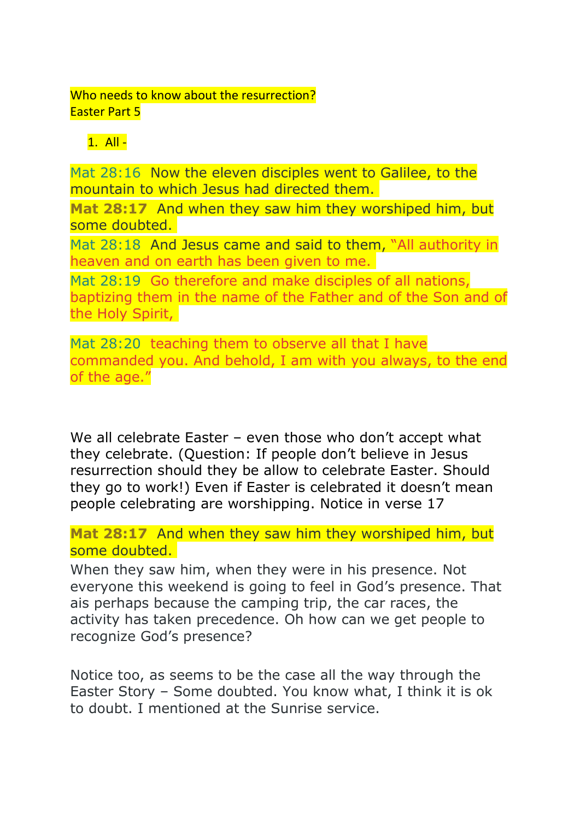## Who needs to know about the resurrection? Easter Part 5

## $1.$  All -

Mat 28:16 Now the eleven disciples went to Galilee, to the mountain to which Jesus had directed them.

**Mat 28:17** And when they saw him they worshiped him, but some doubted.

Mat 28:18 And Jesus came and said to them, "All authority in heaven and on earth has been given to me.

Mat 28:19 Go therefore and make disciples of all nations, baptizing them in the name of the Father and of the Son and of the Holy Spirit,

Mat 28:20 teaching them to observe all that I have commanded you. And behold, I am with you always, to the end of the age."

We all celebrate Easter – even those who don't accept what they celebrate. (Question: If people don't believe in Jesus resurrection should they be allow to celebrate Easter. Should they go to work!) Even if Easter is celebrated it doesn't mean people celebrating are worshipping. Notice in verse 17

**Mat 28:17** And when they saw him they worshiped him, but some doubted.

When they saw him, when they were in his presence. Not everyone this weekend is going to feel in God's presence. That ais perhaps because the camping trip, the car races, the activity has taken precedence. Oh how can we get people to recognize God's presence?

Notice too, as seems to be the case all the way through the Easter Story – Some doubted. You know what, I think it is ok to doubt. I mentioned at the Sunrise service.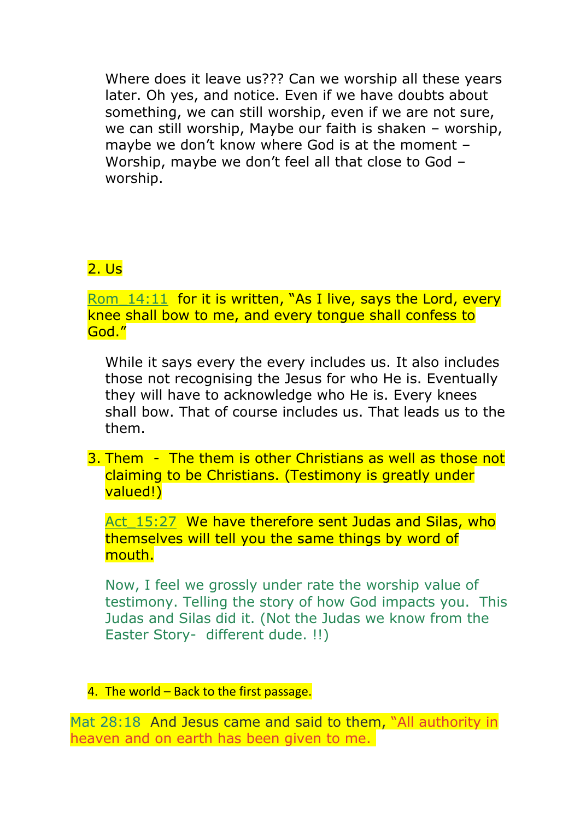Where does it leave us??? Can we worship all these years later. Oh yes, and notice. Even if we have doubts about something, we can still worship, even if we are not sure, we can still worship, Maybe our faith is shaken – worship, maybe we don't know where God is at the moment – Worship, maybe we don't feel all that close to God – worship.

## 2. Us

Rom  $14:11$  for it is written, "As I live, says the Lord, every knee shall bow to me, and every tongue shall confess to God."

While it says every the every includes us. It also includes those not recognising the Jesus for who He is. Eventually they will have to acknowledge who He is. Every knees shall bow. That of course includes us. That leads us to the them.

3. Them - The them is other Christians as well as those not claiming to be Christians. (Testimony is greatly under valued!)

Act 15:27 We have therefore sent Judas and Silas, who themselves will tell you the same things by word of mouth.

Now, I feel we grossly under rate the worship value of testimony. Telling the story of how God impacts you. This Judas and Silas did it. (Not the Judas we know from the Easter Story- different dude. !!)

4. The world  $-$  Back to the first passage.

Mat 28:18 And Jesus came and said to them, "All authority in heaven and on earth has been given to me.